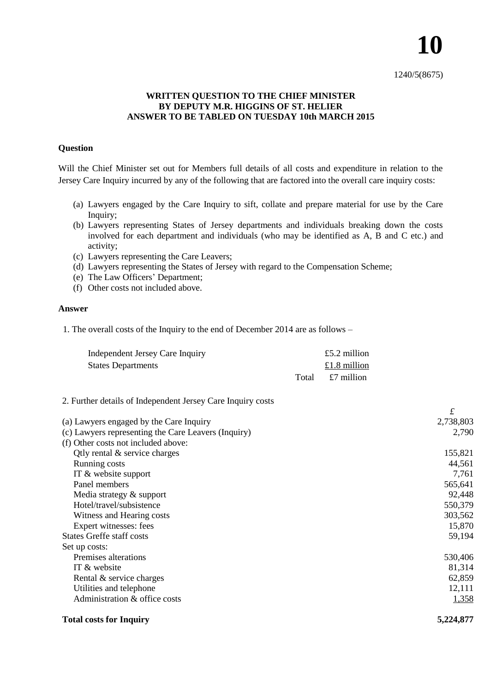## 1240/5(8675)

**10**

## **WRITTEN QUESTION TO THE CHIEF MINISTER BY DEPUTY M.R. HIGGINS OF ST. HELIER ANSWER TO BE TABLED ON TUESDAY 10th MARCH 2015**

### **Question**

Will the Chief Minister set out for Members full details of all costs and expenditure in relation to the Jersey Care Inquiry incurred by any of the following that are factored into the overall care inquiry costs:

- (a) Lawyers engaged by the Care Inquiry to sift, collate and prepare material for use by the Care Inquiry;
- (b) Lawyers representing States of Jersey departments and individuals breaking down the costs involved for each department and individuals (who may be identified as A, B and C etc.) and activity;
- (c) Lawyers representing the Care Leavers;
- (d) Lawyers representing the States of Jersey with regard to the Compensation Scheme;
- (e) The Law Officers' Department;
- (f) Other costs not included above.

#### **Answer**

1. The overall costs of the Inquiry to the end of December 2014 are as follows –

| Independent Jersey Care Inquiry |       | £5.2 million |
|---------------------------------|-------|--------------|
| <b>States Departments</b>       |       | £1.8 million |
|                                 | Total | £7 million   |

2. Further details of Independent Jersey Care Inquiry costs

|                                                     | £         |
|-----------------------------------------------------|-----------|
| (a) Lawyers engaged by the Care Inquiry             | 2,738,803 |
| (c) Lawyers representing the Care Leavers (Inquiry) | 2,790     |
| (f) Other costs not included above:                 |           |
| Qtly rental $\&$ service charges                    | 155,821   |
| Running costs                                       | 44,561    |
| IT $&$ website support                              | 7,761     |
| Panel members                                       | 565,641   |
| Media strategy & support                            | 92,448    |
| Hotel/travel/subsistence                            | 550,379   |
| Witness and Hearing costs                           | 303,562   |
| Expert witnesses: fees                              | 15,870    |
| <b>States Greffe staff costs</b>                    | 59,194    |
| Set up costs:                                       |           |
| Premises alterations                                | 530,406   |
| IT & website                                        | 81,314    |
| Rental & service charges                            | 62,859    |
| Utilities and telephone                             | 12,111    |
| Administration & office costs                       | 1,358     |
| <b>Total costs for Inquiry</b>                      | 5,224,877 |